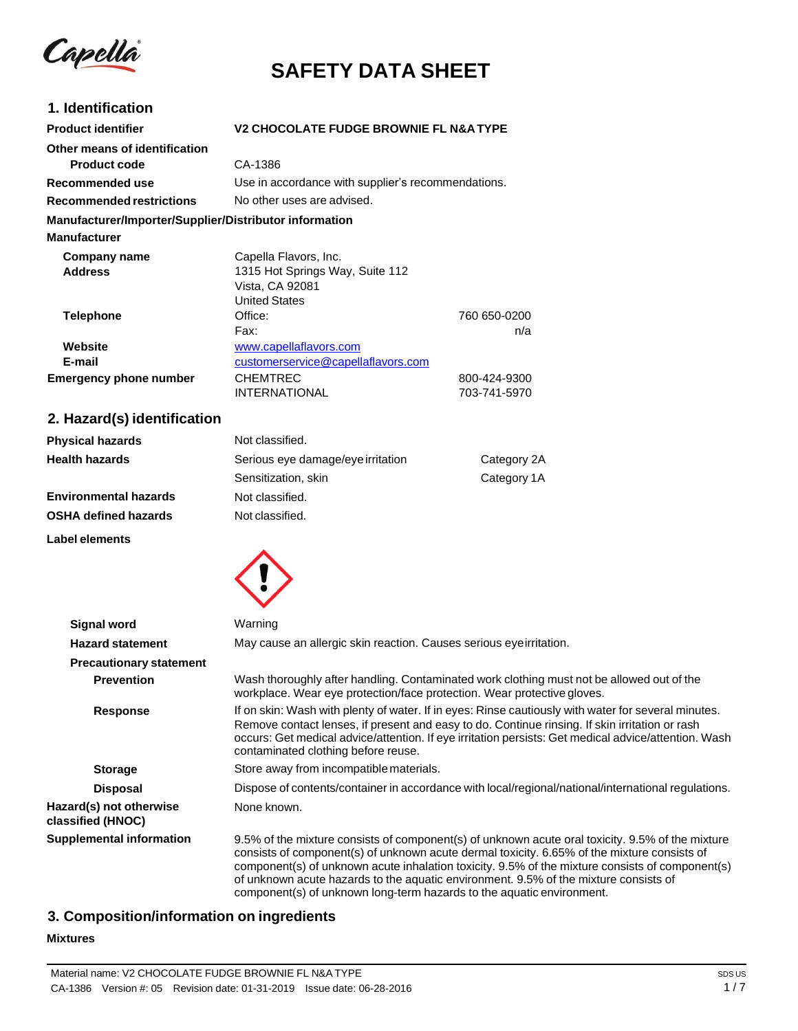Capella

# **SAFETY DATA SHEET**

#### **1. Identification Product identifier Other means of identification Product code Recommended use Recommended restrictions V2 CHOCOLATE FUDGE BROWNIE FL N&A TYPE** CA-1386 Use in accordance with supplier's recommendations. No other uses are advised. **Manufacturer/Importer/Supplier/Distributor information Manufacturer Company name Address** Capella Flavors, Inc. 1315 Hot Springs Way, Suite 112 Vista, CA 92081 United States **Telephone Office: Office:** 760 650-0200 Fax: n/a **Website E-mail** [www.capellaflavors.com](http://www.capellaflavors.com/) [customerservice@capellaflavors.com](mailto:customerservice@capellaflavors.com) **Emergency phone number** CHEMTREC 800-424-9300 INTERNATIONAL 703-741-5970

## **2. Hazard(s) identification**

| <b>Physical hazards</b>      | Not classified.                   |             |
|------------------------------|-----------------------------------|-------------|
| <b>Health hazards</b>        | Serious eye damage/eye irritation | Category 2A |
|                              | Sensitization, skin               | Category 1A |
| <b>Environmental hazards</b> | Not classified.                   |             |
| <b>OSHA defined hazards</b>  | Not classified.                   |             |
| Label elements               |                                   |             |



| <b>Signal word</b>                           | Warning                                                                                                                                                                                                                                                                                                                                                                                                                                                             |
|----------------------------------------------|---------------------------------------------------------------------------------------------------------------------------------------------------------------------------------------------------------------------------------------------------------------------------------------------------------------------------------------------------------------------------------------------------------------------------------------------------------------------|
| <b>Hazard statement</b>                      | May cause an allergic skin reaction. Causes serious eyeirritation.                                                                                                                                                                                                                                                                                                                                                                                                  |
| <b>Precautionary statement</b>               |                                                                                                                                                                                                                                                                                                                                                                                                                                                                     |
| <b>Prevention</b>                            | Wash thoroughly after handling. Contaminated work clothing must not be allowed out of the<br>workplace. Wear eye protection/face protection. Wear protective gloves.                                                                                                                                                                                                                                                                                                |
| <b>Response</b>                              | If on skin: Wash with plenty of water. If in eyes: Rinse cautiously with water for several minutes.<br>Remove contact lenses, if present and easy to do. Continue rinsing. If skin irritation or rash<br>occurs: Get medical advice/attention. If eye irritation persists: Get medical advice/attention. Wash<br>contaminated clothing before reuse.                                                                                                                |
| <b>Storage</b>                               | Store away from incompatible materials.                                                                                                                                                                                                                                                                                                                                                                                                                             |
| <b>Disposal</b>                              | Dispose of contents/container in accordance with local/regional/national/international regulations.                                                                                                                                                                                                                                                                                                                                                                 |
| Hazard(s) not otherwise<br>classified (HNOC) | None known.                                                                                                                                                                                                                                                                                                                                                                                                                                                         |
| <b>Supplemental information</b>              | 9.5% of the mixture consists of component(s) of unknown acute oral toxicity. 9.5% of the mixture<br>consists of component(s) of unknown acute dermal toxicity. 6.65% of the mixture consists of<br>component(s) of unknown acute inhalation toxicity. 9.5% of the mixture consists of component(s)<br>of unknown acute hazards to the aquatic environment. 9.5% of the mixture consists of<br>component(s) of unknown long-term hazards to the aquatic environment. |

# **3. Composition/information on ingredients**

## **Mixtures**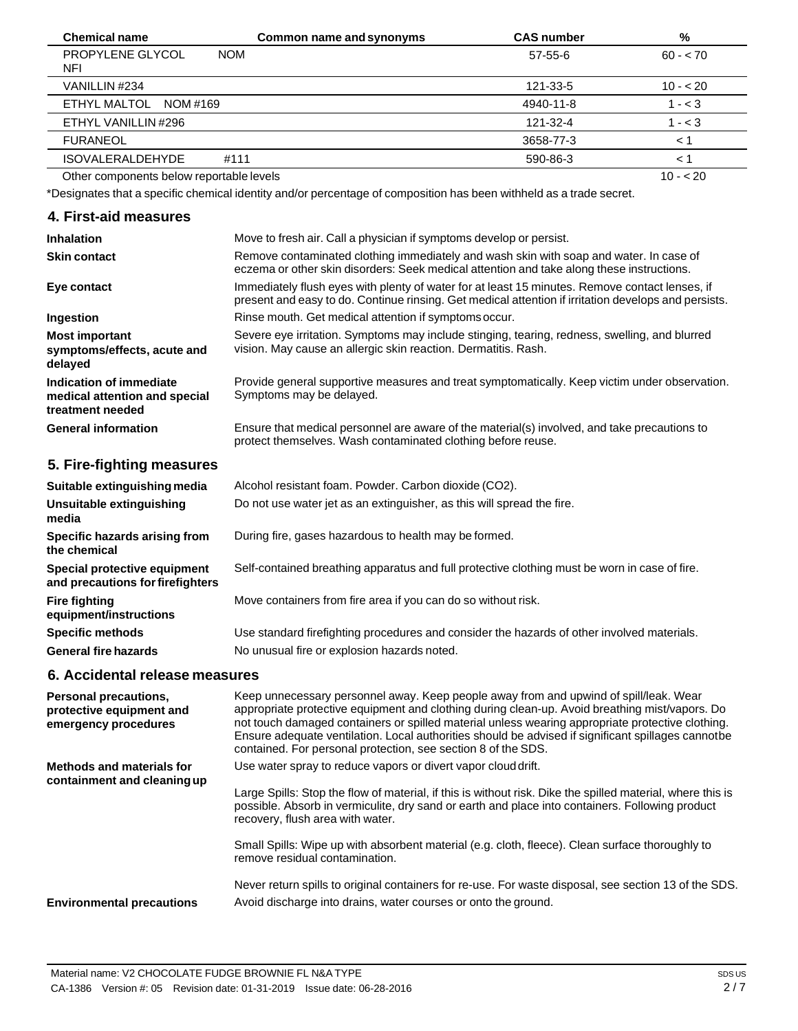| <b>Chemical name</b>                     | Common name and synonyms | <b>CAS number</b> | %         |
|------------------------------------------|--------------------------|-------------------|-----------|
| PROPYLENE GLYCOL<br><b>NOM</b><br>NFI    |                          | $57 - 55 - 6$     | $60 - 70$ |
| VANILLIN #234                            |                          | 121-33-5          | $10 - 20$ |
| ETHYL MALTOL<br>NOM #169                 |                          | 4940-11-8         | $1 - 3$   |
| ETHYL VANILLIN #296                      |                          | 121-32-4          | $1 - 3$   |
| <b>FURANEOL</b>                          |                          | 3658-77-3         | < 1       |
| <b>ISOVALERALDEHYDE</b><br>#111          |                          | 590-86-3          | < 1       |
| Other components below reportable levels |                          |                   | $10 - 20$ |

Other components below reportable levels

\*Designates that a specific chemical identity and/or percentage of composition has been withheld as a trade secret.

# **4. First-aid measures**

| <b>Inhalation</b>                                                            | Move to fresh air. Call a physician if symptoms develop or persist.                                                                                                                                    |
|------------------------------------------------------------------------------|--------------------------------------------------------------------------------------------------------------------------------------------------------------------------------------------------------|
| <b>Skin contact</b>                                                          | Remove contaminated clothing immediately and wash skin with soap and water. In case of<br>eczema or other skin disorders: Seek medical attention and take along these instructions.                    |
| Eye contact                                                                  | Immediately flush eyes with plenty of water for at least 15 minutes. Remove contact lenses, if<br>present and easy to do. Continue rinsing. Get medical attention if irritation develops and persists. |
| Ingestion                                                                    | Rinse mouth. Get medical attention if symptoms occur.                                                                                                                                                  |
| <b>Most important</b><br>symptoms/effects, acute and<br>delayed              | Severe eye irritation. Symptoms may include stinging, tearing, redness, swelling, and blurred<br>vision. May cause an allergic skin reaction. Dermatitis. Rash.                                        |
| Indication of immediate<br>medical attention and special<br>treatment needed | Provide general supportive measures and treat symptomatically. Keep victim under observation.<br>Symptoms may be delayed.                                                                              |
| <b>General information</b>                                                   | Ensure that medical personnel are aware of the material(s) involved, and take precautions to<br>protect themselves. Wash contaminated clothing before reuse.                                           |

# **5. Fire-fighting measures**

| Suitable extinguishing media                                     | Alcohol resistant foam. Powder. Carbon dioxide (CO2).                                         |
|------------------------------------------------------------------|-----------------------------------------------------------------------------------------------|
| Unsuitable extinguishing<br>media                                | Do not use water jet as an extinguisher, as this will spread the fire.                        |
| Specific hazards arising from<br>the chemical                    | During fire, gases hazardous to health may be formed.                                         |
| Special protective equipment<br>and precautions for firefighters | Self-contained breathing apparatus and full protective clothing must be worn in case of fire. |
| <b>Fire fighting</b><br>equipment/instructions                   | Move containers from fire area if you can do so without risk.                                 |
| <b>Specific methods</b>                                          | Use standard firefighting procedures and consider the hazards of other involved materials.    |
| <b>General fire hazards</b>                                      | No unusual fire or explosion hazards noted.                                                   |

# **6. Accidental release measures**

| Personal precautions,<br>protective equipment and<br>emergency procedures | Keep unnecessary personnel away. Keep people away from and upwind of spill/leak. Wear<br>appropriate protective equipment and clothing during clean-up. Avoid breathing mist/vapors. Do<br>not touch damaged containers or spilled material unless wearing appropriate protective clothing.<br>Ensure adequate ventilation. Local authorities should be advised if significant spillages cannotbe<br>contained. For personal protection, see section 8 of the SDS. |
|---------------------------------------------------------------------------|--------------------------------------------------------------------------------------------------------------------------------------------------------------------------------------------------------------------------------------------------------------------------------------------------------------------------------------------------------------------------------------------------------------------------------------------------------------------|
| Methods and materials for                                                 | Use water spray to reduce vapors or divert vapor cloud drift.                                                                                                                                                                                                                                                                                                                                                                                                      |
| containment and cleaning up                                               | Large Spills: Stop the flow of material, if this is without risk. Dike the spilled material, where this is<br>possible. Absorb in vermiculite, dry sand or earth and place into containers. Following product<br>recovery, flush area with water.                                                                                                                                                                                                                  |
|                                                                           | Small Spills: Wipe up with absorbent material (e.g. cloth, fleece). Clean surface thoroughly to<br>remove residual contamination.                                                                                                                                                                                                                                                                                                                                  |
| <b>Environmental precautions</b>                                          | Never return spills to original containers for re-use. For waste disposal, see section 13 of the SDS.<br>Avoid discharge into drains, water courses or onto the ground.                                                                                                                                                                                                                                                                                            |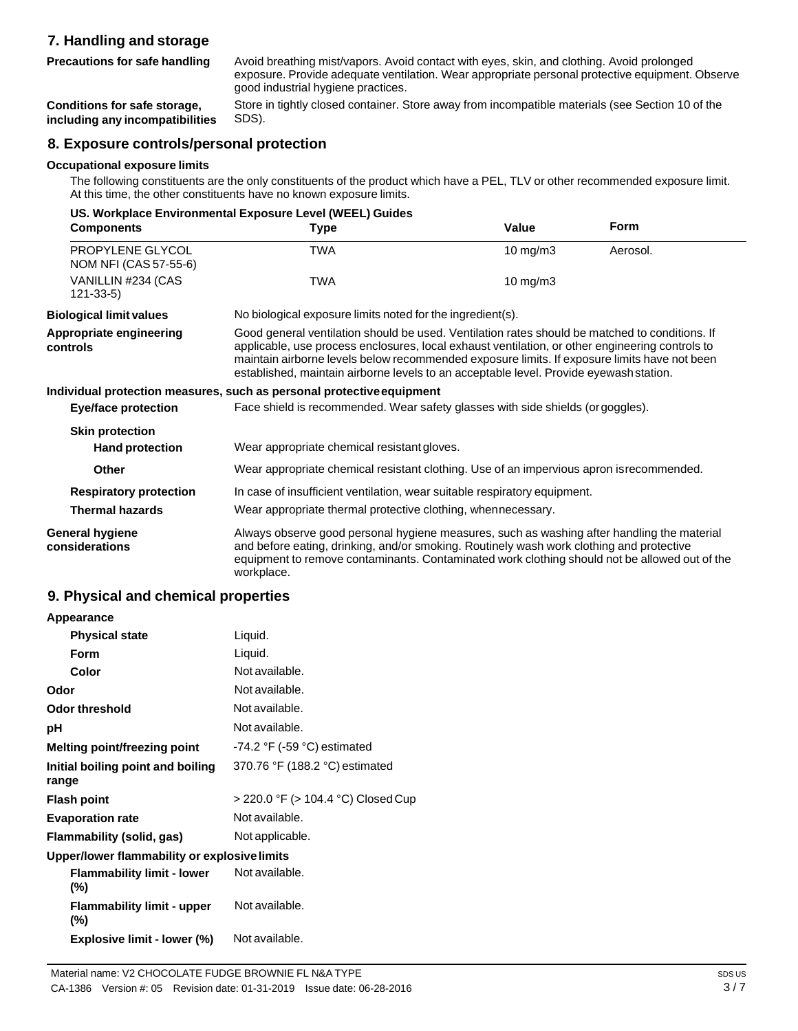# **7. Handling and storage**

**Precautions for safe handling**

Avoid breathing mist/vapors. Avoid contact with eyes, skin, and clothing. Avoid prolonged exposure. Provide adequate ventilation. Wear appropriate personal protective equipment. Observe good industrial hygiene practices.

**Conditions for safe storage, including any incompatibilities** Store in tightly closed container. Store away from incompatible materials (see Section 10 of the SDS).

# **8. Exposure controls/personal protection**

#### **Occupational exposure limits**

The following constituents are the only constituents of the product which have a PEL, TLV or other recommended exposure limit. At this time, the other constituents have no known exposure limits.

| US. Workplace Environmental Exposure Level (WEEL) Guides |                                                                                                                                                                                                                                                                                                                                                                                             |                     |             |
|----------------------------------------------------------|---------------------------------------------------------------------------------------------------------------------------------------------------------------------------------------------------------------------------------------------------------------------------------------------------------------------------------------------------------------------------------------------|---------------------|-------------|
| <b>Components</b>                                        | Type                                                                                                                                                                                                                                                                                                                                                                                        | Value               | <b>Form</b> |
| PROPYLENE GLYCOL<br>NOM NFI (CAS 57-55-6)                | <b>TWA</b>                                                                                                                                                                                                                                                                                                                                                                                  | $10 \text{ mg/m}$ 3 | Aerosol.    |
| VANILLIN #234 (CAS<br>$121 - 33 - 5$                     | TWA                                                                                                                                                                                                                                                                                                                                                                                         | $10$ mg/m $3$       |             |
| <b>Biological limit values</b>                           | No biological exposure limits noted for the ingredient(s).                                                                                                                                                                                                                                                                                                                                  |                     |             |
| Appropriate engineering<br>controls                      | Good general ventilation should be used. Ventilation rates should be matched to conditions. If<br>applicable, use process enclosures, local exhaust ventilation, or other engineering controls to<br>maintain airborne levels below recommended exposure limits. If exposure limits have not been<br>established, maintain airborne levels to an acceptable level. Provide eyewash station. |                     |             |
|                                                          | Individual protection measures, such as personal protective equipment                                                                                                                                                                                                                                                                                                                       |                     |             |
| <b>Eye/face protection</b>                               | Face shield is recommended. Wear safety glasses with side shields (or goggles).                                                                                                                                                                                                                                                                                                             |                     |             |
| <b>Skin protection</b>                                   |                                                                                                                                                                                                                                                                                                                                                                                             |                     |             |
| <b>Hand protection</b>                                   | Wear appropriate chemical resistant gloves.                                                                                                                                                                                                                                                                                                                                                 |                     |             |
| Other                                                    | Wear appropriate chemical resistant clothing. Use of an impervious apron is recommended.                                                                                                                                                                                                                                                                                                    |                     |             |
| <b>Respiratory protection</b>                            | In case of insufficient ventilation, wear suitable respiratory equipment.                                                                                                                                                                                                                                                                                                                   |                     |             |
| <b>Thermal hazards</b>                                   | Wear appropriate thermal protective clothing, when necessary.                                                                                                                                                                                                                                                                                                                               |                     |             |
| <b>General hygiene</b><br>considerations                 | Always observe good personal hygiene measures, such as washing after handling the material<br>and before eating, drinking, and/or smoking. Routinely wash work clothing and protective<br>equipment to remove contaminants. Contaminated work clothing should not be allowed out of the<br>workplace.                                                                                       |                     |             |

# **9. Physical and chemical properties**

| Appearance                                   |                                    |
|----------------------------------------------|------------------------------------|
| <b>Physical state</b>                        | Liquid.                            |
| Form                                         | Liquid.                            |
| Color                                        | Not available.                     |
| Odor                                         | Not available.                     |
| <b>Odor threshold</b>                        | Not available.                     |
| рH                                           | Not available.                     |
| Melting point/freezing point                 | $-74.2$ °F ( $-59$ °C) estimated   |
| Initial boiling point and boiling<br>range   | 370.76 °F (188.2 °C) estimated     |
| <b>Flash point</b>                           | > 220.0 °F (> 104.4 °C) Closed Cup |
| <b>Evaporation rate</b>                      | Not available.                     |
| Flammability (solid, gas)                    | Not applicable.                    |
| Upper/lower flammability or explosive limits |                                    |
| <b>Flammability limit - lower</b><br>(%)     | Not available.                     |
| <b>Flammability limit - upper</b><br>(%)     | Not available.                     |

**Explosive limit - lower (%)** Not available.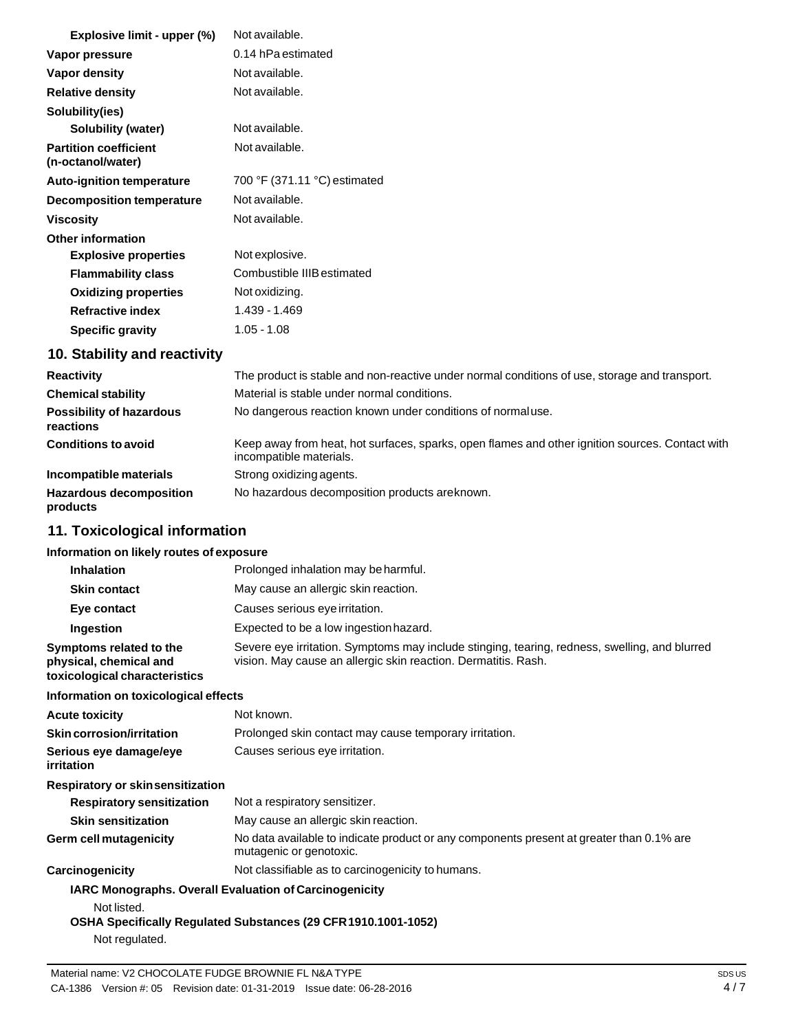| Explosive limit - upper (%)                       | Not available.               |
|---------------------------------------------------|------------------------------|
| Vapor pressure                                    | 0.14 hPa estimated           |
| Vapor density                                     | Not available.               |
| <b>Relative density</b>                           | Not available.               |
| Solubility(ies)                                   |                              |
| Solubility (water)                                | Not available.               |
| <b>Partition coefficient</b><br>(n-octanol/water) | Not available.               |
| <b>Auto-ignition temperature</b>                  | 700 °F (371.11 °C) estimated |
| <b>Decomposition temperature</b>                  | Not available.               |
| <b>Viscosity</b>                                  | Not available.               |
| <b>Other information</b>                          |                              |
| <b>Explosive properties</b>                       | Not explosive.               |
| <b>Flammability class</b>                         | Combustible IIIB estimated   |
| <b>Oxidizing properties</b>                       | Not oxidizing.               |
| <b>Refractive index</b>                           | 1.439 - 1.469                |
| <b>Specific gravity</b>                           | $1.05 - 1.08$                |

# **10. Stability and reactivity**

| <b>Reactivity</b>                            | The product is stable and non-reactive under normal conditions of use, storage and transport.                              |
|----------------------------------------------|----------------------------------------------------------------------------------------------------------------------------|
| <b>Chemical stability</b>                    | Material is stable under normal conditions.                                                                                |
| <b>Possibility of hazardous</b><br>reactions | No dangerous reaction known under conditions of normal use.                                                                |
| <b>Conditions to avoid</b>                   | Keep away from heat, hot surfaces, sparks, open flames and other ignition sources. Contact with<br>incompatible materials. |
| Incompatible materials                       | Strong oxidizing agents.                                                                                                   |
| <b>Hazardous decomposition</b><br>products   | No hazardous decomposition products are known.                                                                             |

# **11. Toxicological information**

# **Information on likely routes of exposure**

| <b>Inhalation</b>                                                                       | Prolonged inhalation may be harmful.                                                                                                                            |
|-----------------------------------------------------------------------------------------|-----------------------------------------------------------------------------------------------------------------------------------------------------------------|
| <b>Skin contact</b>                                                                     | May cause an allergic skin reaction.                                                                                                                            |
| Eye contact                                                                             | Causes serious eye irritation.                                                                                                                                  |
| Ingestion                                                                               | Expected to be a low ingestion hazard.                                                                                                                          |
| Symptoms related to the<br>physical, chemical and<br>toxicological characteristics      | Severe eye irritation. Symptoms may include stinging, tearing, redness, swelling, and blurred<br>vision. May cause an allergic skin reaction. Dermatitis. Rash. |
| Information on toxicological effects                                                    |                                                                                                                                                                 |
| <b>Acute toxicity</b>                                                                   | Not known.                                                                                                                                                      |
| Skin corrosion/irritation                                                               | Prolonged skin contact may cause temporary irritation.                                                                                                          |
| Serious eye damage/eye<br>irritation                                                    | Causes serious eye irritation.                                                                                                                                  |
| <b>Respiratory or skinsensitization</b>                                                 |                                                                                                                                                                 |
| <b>Respiratory sensitization</b>                                                        | Not a respiratory sensitizer.                                                                                                                                   |
| <b>Skin sensitization</b>                                                               | May cause an allergic skin reaction.                                                                                                                            |
| <b>Germ cell mutagenicity</b>                                                           | No data available to indicate product or any components present at greater than 0.1% are<br>mutagenic or genotoxic.                                             |
| Carcinogenicity                                                                         | Not classifiable as to carcinogenicity to humans.                                                                                                               |
| IARC Monographs. Overall Evaluation of Carcinogenicity<br>Not listed.<br>Not regulated. | OSHA Specifically Regulated Substances (29 CFR 1910.1001-1052)                                                                                                  |
|                                                                                         |                                                                                                                                                                 |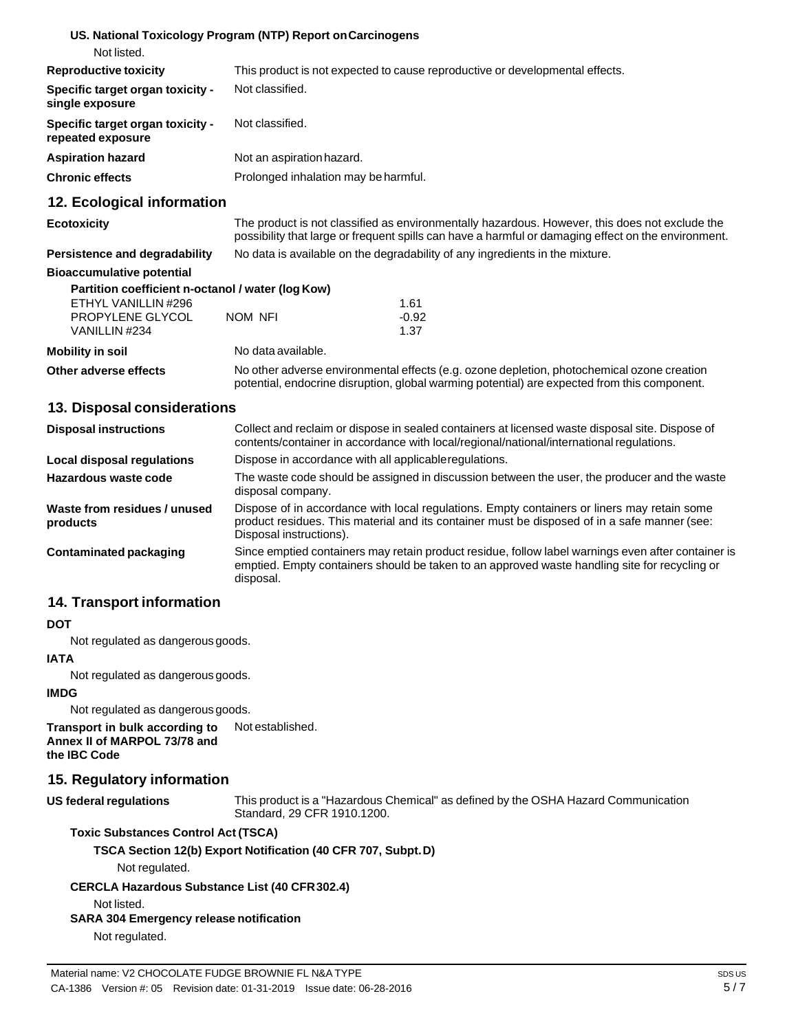| Not listed. |
|-------------|
|             |

| <b>Reproductive toxicity</b>                                 | This product is not expected to cause reproductive or developmental effects. |
|--------------------------------------------------------------|------------------------------------------------------------------------------|
| <b>Specific target organ toxicity -</b><br>single exposure   | Not classified.                                                              |
| <b>Specific target organ toxicity -</b><br>repeated exposure | Not classified.                                                              |
| <b>Aspiration hazard</b>                                     | Not an aspiration hazard.                                                    |
| <b>Chronic effects</b>                                       | Prolonged inhalation may be harmful.                                         |

## **12. Ecological information**

#### **Ecotoxicity**

**Persistence and degradability** The product is not classified as environmentally hazardous. However, this does not exclude the possibility that large or frequent spills can have a harmful or damaging effect on the environment. No data is available on the degradability of any ingredients in the mixture.

potential, endocrine disruption, global warming potential) are expected from this component.

#### **Bioaccumulative potential**

| Partition coefficient n-octanol / water (log Kow) |                    |                                                                                            |  |
|---------------------------------------------------|--------------------|--------------------------------------------------------------------------------------------|--|
| ETHYL VANILLIN #296                               |                    | 1.61                                                                                       |  |
| PROPYLENE GLYCOL                                  | NOM NFI            | $-0.92$                                                                                    |  |
| VANILLIN #234                                     |                    | 1.37                                                                                       |  |
| Mobility in soil                                  | No data available. |                                                                                            |  |
| Other adverse effects                             |                    | No other adverse environmental effects (e.g. ozone depletion, photochemical ozone creation |  |

#### **13. Disposal considerations**

| <b>Disposal instructions</b>             | Collect and reclaim or dispose in sealed containers at licensed waste disposal site. Dispose of<br>contents/container in accordance with local/regional/national/international regulations.                            |
|------------------------------------------|------------------------------------------------------------------------------------------------------------------------------------------------------------------------------------------------------------------------|
| Local disposal regulations               | Dispose in accordance with all applicable regulations.                                                                                                                                                                 |
| Hazardous waste code                     | The waste code should be assigned in discussion between the user, the producer and the waste<br>disposal company.                                                                                                      |
| Waste from residues / unused<br>products | Dispose of in accordance with local regulations. Empty containers or liners may retain some<br>product residues. This material and its container must be disposed of in a safe manner (see:<br>Disposal instructions). |
| Contaminated packaging                   | Since emptied containers may retain product residue, follow label warnings even after container is<br>emptied. Empty containers should be taken to an approved waste handling site for recycling or<br>disposal.       |

#### **14. Transport information**

#### **DOT**

Not regulated as dangerous goods.

#### **IATA**

Not regulated as dangerous goods.

#### **IMDG**

Not regulated as dangerous goods.

**Transport in bulk according to Annex II of MARPOL 73/78 and the IBC Code** Not established.

## **15. Regulatory information**

#### **US** federal regulations

This product is a "Hazardous Chemical" as defined by the OSHA Hazard Communication Standard, 29 CFR 1910.1200.

#### **Toxic Substances Control Act (TSCA)**

**TSCA Section 12(b) Export Notification (40 CFR 707, Subpt.D)**

Not regulated.

#### **CERCLA Hazardous Substance List (40 CFR302.4)**

Not listed.

#### **SARA 304 Emergency release notification**

Not regulated.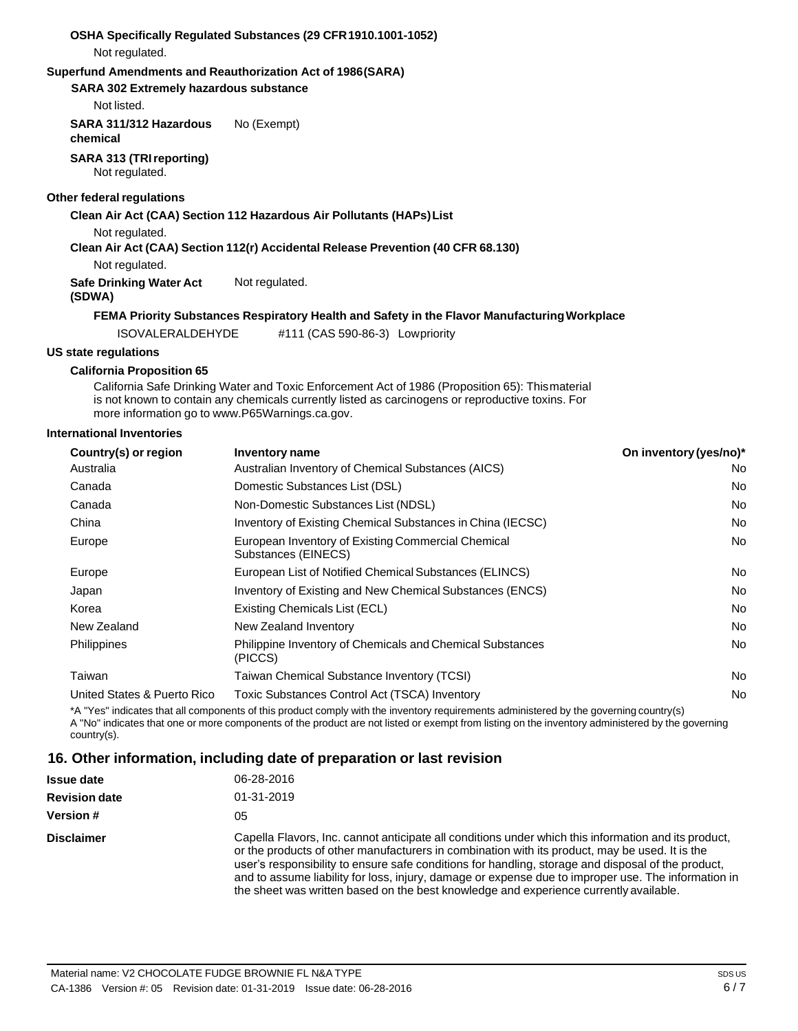| Not regulated.                                    | OSHA Specifically Regulated Substances (29 CFR 1910.1001-1052)                                                                                                                                                                                         |                        |
|---------------------------------------------------|--------------------------------------------------------------------------------------------------------------------------------------------------------------------------------------------------------------------------------------------------------|------------------------|
|                                                   | Superfund Amendments and Reauthorization Act of 1986(SARA)                                                                                                                                                                                             |                        |
| <b>SARA 302 Extremely hazardous substance</b>     |                                                                                                                                                                                                                                                        |                        |
| Not listed.                                       |                                                                                                                                                                                                                                                        |                        |
| SARA 311/312 Hazardous<br>chemical                | No (Exempt)                                                                                                                                                                                                                                            |                        |
| <b>SARA 313 (TRI reporting)</b><br>Not regulated. |                                                                                                                                                                                                                                                        |                        |
| Other federal regulations                         |                                                                                                                                                                                                                                                        |                        |
|                                                   | Clean Air Act (CAA) Section 112 Hazardous Air Pollutants (HAPs) List                                                                                                                                                                                   |                        |
| Not regulated.                                    |                                                                                                                                                                                                                                                        |                        |
|                                                   | Clean Air Act (CAA) Section 112(r) Accidental Release Prevention (40 CFR 68.130)                                                                                                                                                                       |                        |
| Not regulated.                                    |                                                                                                                                                                                                                                                        |                        |
| <b>Safe Drinking Water Act</b><br>(SDWA)          | Not regulated.                                                                                                                                                                                                                                         |                        |
|                                                   | FEMA Priority Substances Respiratory Health and Safety in the Flavor Manufacturing Workplace                                                                                                                                                           |                        |
| <b>ISOVALERALDEHYDE</b>                           | #111 (CAS 590-86-3) Lowpriority                                                                                                                                                                                                                        |                        |
| <b>US state regulations</b>                       |                                                                                                                                                                                                                                                        |                        |
| <b>California Proposition 65</b>                  |                                                                                                                                                                                                                                                        |                        |
|                                                   | California Safe Drinking Water and Toxic Enforcement Act of 1986 (Proposition 65): Thismaterial<br>is not known to contain any chemicals currently listed as carcinogens or reproductive toxins. For<br>more information go to www.P65Warnings.ca.gov. |                        |
| <b>International Inventories</b>                  |                                                                                                                                                                                                                                                        |                        |
| Country(s) or region                              | Inventory name                                                                                                                                                                                                                                         | On inventory (yes/no)* |
| Australia                                         | Australian Inventory of Chemical Substances (AICS)                                                                                                                                                                                                     | No.                    |
| Canada                                            | Domestic Substances List (DSL)                                                                                                                                                                                                                         | <b>No</b>              |
| Canada                                            | Non-Domestic Substances List (NDSL)                                                                                                                                                                                                                    | No.                    |
| China                                             | Inventory of Existing Chemical Substances in China (IECSC)                                                                                                                                                                                             | No                     |
| Europe                                            | European Inventory of Existing Commercial Chemical<br>Substances (EINECS)                                                                                                                                                                              | <b>No</b>              |

| Korea                       | Existing Chemicals List (ECL)                                                                                                                                                                                                                                                                                                                                            | No |
|-----------------------------|--------------------------------------------------------------------------------------------------------------------------------------------------------------------------------------------------------------------------------------------------------------------------------------------------------------------------------------------------------------------------|----|
| New Zealand                 | New Zealand Inventory                                                                                                                                                                                                                                                                                                                                                    | No |
| Philippines                 | Philippine Inventory of Chemicals and Chemical Substances<br>(PICCS)                                                                                                                                                                                                                                                                                                     | No |
| Taiwan                      | Taiwan Chemical Substance Inventory (TCSI)                                                                                                                                                                                                                                                                                                                               | N٥ |
| United States & Puerto Rico | Toxic Substances Control Act (TSCA) Inventory                                                                                                                                                                                                                                                                                                                            | No |
|                             | *A "Yes" indicates that all components of this product comply with the inventory requirements administered by the governing country(s)<br>A UNIAU indicated that and an access consequent of the modulation are lighted as consectional and the incontract administrator distribution and including the second modulation of the second second second second second seco |    |

Europe **European List of Notified Chemical Substances (ELINCS)** No Japan **Inventory of Existing and New Chemical Substances (ENCS)** No No

A "No" indicates that one or more components of the product are not listed or exempt from listing on the inventory administered by the governing country(s).

# **16. Other information, including date of preparation or last revision**

| <b>Issue date</b>    | 06-28-2016                                                                                                                                                                                                                                                                                                                                                                                                                                                                                                   |
|----------------------|--------------------------------------------------------------------------------------------------------------------------------------------------------------------------------------------------------------------------------------------------------------------------------------------------------------------------------------------------------------------------------------------------------------------------------------------------------------------------------------------------------------|
| <b>Revision date</b> | 01-31-2019                                                                                                                                                                                                                                                                                                                                                                                                                                                                                                   |
| Version #            | 05                                                                                                                                                                                                                                                                                                                                                                                                                                                                                                           |
| <b>Disclaimer</b>    | Capella Flavors, Inc. cannot anticipate all conditions under which this information and its product,<br>or the products of other manufacturers in combination with its product, may be used. It is the<br>user's responsibility to ensure safe conditions for handling, storage and disposal of the product,<br>and to assume liability for loss, injury, damage or expense due to improper use. The information in<br>the sheet was written based on the best knowledge and experience currently available. |